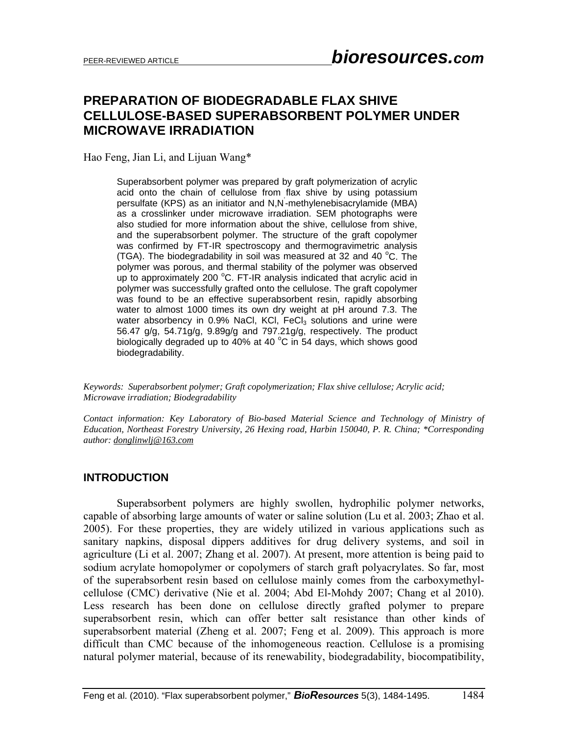# **PREPARATION OF BIODEGRADABLE FLAX SHIVE CELLULOSE-BASED SUPERABSORBENT POLYMER UNDER MICROWAVE IRRADIATION**

Hao Feng, Jian Li, and Lijuan Wang\*

Superabsorbent polymer was prepared by graft polymerization of acrylic acid onto the chain of cellulose from flax shive by using potassium persulfate (KPS) as an initiator and N,N' -methylenebisacrylamide (MBA) as a crosslinker under microwave irradiation. SEM photographs were also studied for more information about the shive, cellulose from shive, and the superabsorbent polymer. The structure of the graft copolymer was confirmed by FT-IR spectroscopy and thermogravimetric analysis (TGA). The biodegradability in soil was measured at 32 and 40  $^{\circ}$ C. The polymer was porous, and thermal stability of the polymer was observed  $\mu$  to approximately 200 °C. FT-IR analysis indicated that acrylic acid in polymer was successfully grafted onto the cellulose. The graft copolymer was found to be an effective superabsorbent resin, rapidly absorbing water to almost 1000 times its own dry weight at pH around 7.3. The water absorbency in 0.9% NaCl, KCl,  $FeCl<sub>3</sub>$  solutions and urine were 56.47 g/g, 54.71g/g, 9.89g/g and 797.21g/g, respectively. The product biologically degraded up to 40% at 40  $^{\circ}$ C in 54 days, which shows good biodegradability.

*Keywords: Superabsorbent polymer; Graft copolymerization; Flax shive cellulose; Acrylic acid; Microwave irradiation; Biodegradability* 

*Contact information: Key Laboratory of Bio-based Material Science and Technology of Ministry of Education, Northeast Forestry University, 26 Hexing road, Harbin 150040, P. R. China; \*Corresponding author: donglinwlj@163.com*

#### **INTRODUCTION**

Superabsorbent polymers are highly swollen, hydrophilic polymer networks, capable of absorbing large amounts of water or saline solution (Lu et al. 2003; Zhao et al. 2005). For these properties, they are widely utilized in various applications such as sanitary napkins, disposal dippers additives for drug delivery systems, and soil in agriculture (Li et al. 2007; Zhang et al. 2007). At present, more attention is being paid to sodium acrylate homopolymer or copolymers of starch graft polyacrylates. So far, most of the superabsorbent resin based on cellulose mainly comes from the carboxymethylcellulose (CMC) derivative (Nie et al. 2004; Abd El-Mohdy 2007; Chang et al 2010). Less research has been done on cellulose directly grafted polymer to prepare superabsorbent resin, which can offer better salt resistance than other kinds of superabsorbent material (Zheng et al. 2007; Feng et al. 2009). This approach is more difficult than CMC because of the inhomogeneous reaction. Cellulose is a promising natural polymer material, because of its renewability, biodegradability, biocompatibility,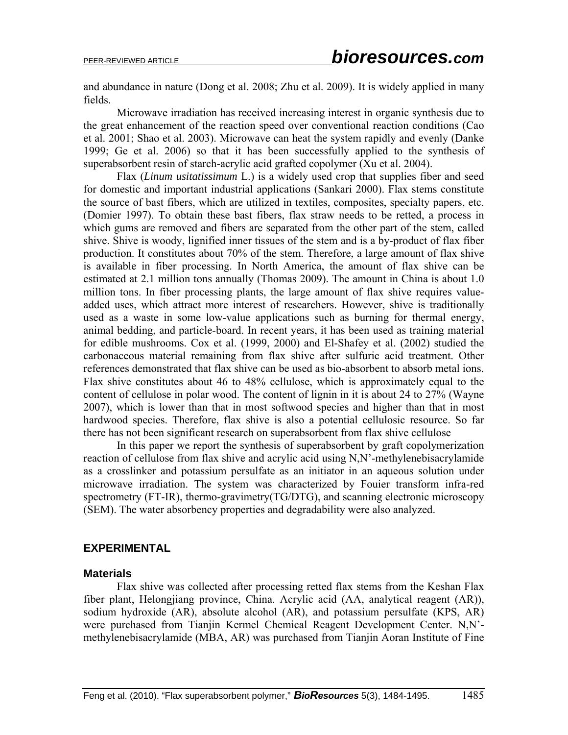and abundance in nature (Dong et al. 2008; Zhu et al. 2009). It is widely applied in many fields.

Microwave irradiation has received increasing interest in organic synthesis due to the great enhancement of the reaction speed over conventional reaction conditions (Cao et al. 2001; Shao et al. 2003). Microwave can heat the system rapidly and evenly (Danke 1999; Ge et al. 2006) so that it has been successfully applied to the synthesis of superabsorbent resin of starch-acrylic acid grafted copolymer (Xu et al. 2004).

Flax (*Linum usitatissimum* L.) is a widely used crop that supplies fiber and seed for domestic and important industrial applications (Sankari 2000). Flax stems constitute the source of bast fibers, which are utilized in textiles, composites, specialty papers, etc. (Domier 1997). To obtain these bast fibers, flax straw needs to be retted, a process in which gums are removed and fibers are separated from the other part of the stem, called shive. Shive is woody, lignified inner tissues of the stem and is a by-product of flax fiber production. It constitutes about 70% of the stem. Therefore, a large amount of flax shive is available in fiber processing. In North America, the amount of flax shive can be estimated at 2.1 million tons annually (Thomas 2009). The amount in China is about 1.0 million tons. In fiber processing plants, the large amount of flax shive requires valueadded uses, which attract more interest of researchers. However, shive is traditionally used as a waste in some low-value applications such as burning for thermal energy, animal bedding, and particle-board. In recent years, it has been used as training material for edible mushrooms. Cox et al. (1999, 2000) and El-Shafey et al. (2002) studied the carbonaceous material remaining from flax shive after sulfuric acid treatment. Other references demonstrated that flax shive can be used as bio-absorbent to absorb metal ions. Flax shive constitutes about 46 to 48% cellulose, which is approximately equal to the content of cellulose in polar wood. The content of lignin in it is about 24 to 27% (Wayne 2007), which is lower than that in most softwood species and higher than that in most hardwood species. Therefore, flax shive is also a potential cellulosic resource. So far there has not been significant research on superabsorbent from flax shive cellulose

In this paper we report the synthesis of superabsorbent by graft copolymerization reaction of cellulose from flax shive and acrylic acid using N,N'-methylenebisacrylamide as a crosslinker and potassium persulfate as an initiator in an aqueous solution under microwave irradiation. The system was characterized by Fouier transform infra-red spectrometry (FT-IR), thermo-gravimetry(TG/DTG), and scanning electronic microscopy (SEM). The water absorbency properties and degradability were also analyzed.

#### **EXPERIMENTAL**

#### **Materials**

Flax shive was collected after processing retted flax stems from the Keshan Flax fiber plant, Helongjiang province, China. Acrylic acid (AA, analytical reagent (AR)), sodium hydroxide (AR), absolute alcohol (AR), and potassium persulfate (KPS, AR) were purchased from Tianjin Kermel Chemical Reagent Development Center. N,N' methylenebisacrylamide (MBA, AR) was purchased from Tianjin Aoran Institute of Fine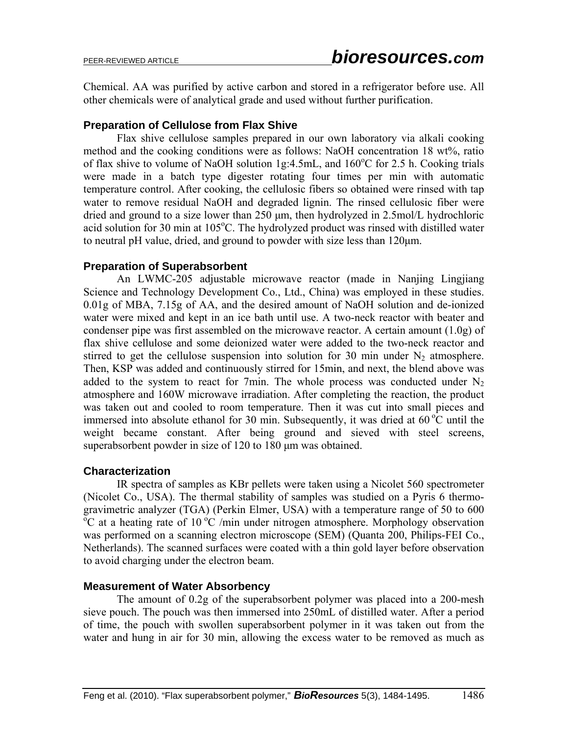Chemical. AA was purified by active carbon and stored in a refrigerator before use. All other chemicals were of analytical grade and used without further purification.

# **Preparation of Cellulose from Flax Shive**

Flax shive cellulose samples prepared in our own laboratory via alkali cooking method and the cooking conditions were as follows: NaOH concentration 18 wt%, ratio of flax shive to volume of NaOH solution 1g:4.5mL, and 160°C for 2.5 h. Cooking trials were made in a batch type digester rotating four times per min with automatic temperature control. After cooking, the cellulosic fibers so obtained were rinsed with tap water to remove residual NaOH and degraded lignin. The rinsed cellulosic fiber were dried and ground to a size lower than 250 μm, then hydrolyzed in 2.5mol/L hydrochloric acid solution for 30 min at 105°C. The hydrolyzed product was rinsed with distilled water to neutral pH value, dried, and ground to powder with size less than 120μm.

### **Preparation of Superabsorbent**

An LWMC-205 adjustable microwave reactor (made in Nanjing Lingjiang Science and Technology Development Co., Ltd., China) was employed in these studies. 0.01g of MBA, 7.15g of AA, and the desired amount of NaOH solution and de-ionized water were mixed and kept in an ice bath until use. A two-neck reactor with beater and condenser pipe was first assembled on the microwave reactor. A certain amount (1.0g) of flax shive cellulose and some deionized water were added to the two-neck reactor and stirred to get the cellulose suspension into solution for 30 min under  $N_2$  atmosphere. Then, KSP was added and continuously stirred for 15min, and next, the blend above was added to the system to react for 7min. The whole process was conducted under  $N_2$ atmosphere and 160W microwave irradiation. After completing the reaction, the product was taken out and cooled to room temperature. Then it was cut into small pieces and immersed into absolute ethanol for 30 min. Subsequently, it was dried at  $60^{\circ}$ C until the weight became constant. After being ground and sieved with steel screens, superabsorbent powder in size of 120 to 180 μm was obtained.

#### **Characterization**

IR spectra of samples as KBr pellets were taken using a Nicolet 560 spectrometer (Nicolet Co., USA). The thermal stability of samples was studied on a Pyris 6 thermogravimetric analyzer (TGA) (Perkin Elmer, USA) with a temperature range of  $50$  to  $600$  $\rm{^oC}$  at a heating rate of 10  $\rm{^oC}$  /min under nitrogen atmosphere. Morphology observation was performed on a scanning electron microscope (SEM) (Quanta 200, Philips-FEI Co., Netherlands). The scanned surfaces were coated with a thin gold layer before observation to avoid charging under the electron beam.

#### **Measurement of Water Absorbency**

The amount of 0.2g of the superabsorbent polymer was placed into a 200-mesh sieve pouch. The pouch was then immersed into 250mL of distilled water. After a period of time, the pouch with swollen superabsorbent polymer in it was taken out from the water and hung in air for 30 min, allowing the excess water to be removed as much as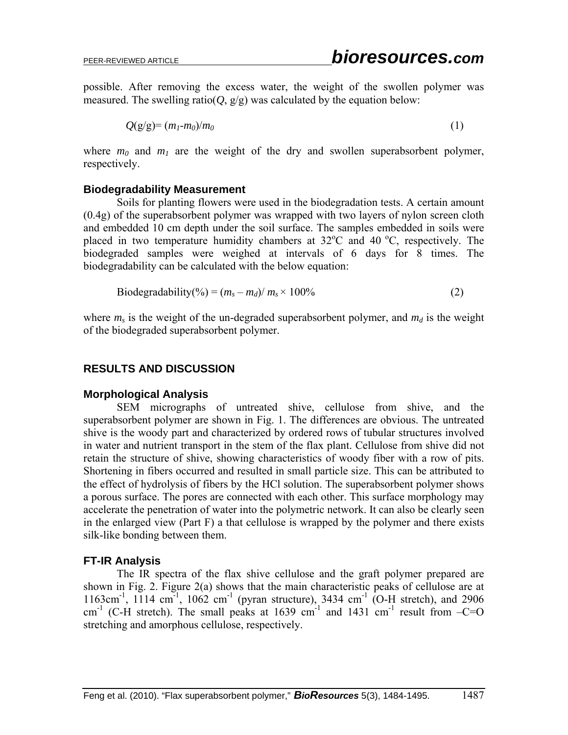possible. After removing the excess water, the weight of the swollen polymer was measured. The swelling ratio( $Q$ ,  $g/g$ ) was calculated by the equation below:

$$
Q(g/g) = (m_1 - m_0)/m_0 \tag{1}
$$

where  $m_0$  and  $m_1$  are the weight of the dry and swollen superabsorbent polymer, respectively.

### **Biodegradability Measurement**

Soils for planting flowers were used in the biodegradation tests. A certain amount (0.4g) of the superabsorbent polymer was wrapped with two layers of nylon screen cloth and embedded 10 cm depth under the soil surface. The samples embedded in soils were placed in two temperature humidity chambers at  $32^{\circ}$ C and 40  $^{\circ}$ C, respectively. The biodegraded samples were weighed at intervals of 6 days for 8 times. The biodegradability can be calculated with the below equation:

$$
\text{Biodegradability}(\%) = (m_s - m_d)/m_s \times 100\% \tag{2}
$$

where  $m_s$  is the weight of the un-degraded superabsorbent polymer, and  $m_d$  is the weight of the biodegraded superabsorbent polymer.

# **RESULTS AND DISCUSSION**

# **Morphological Analysis**

 SEM micrographs of untreated shive, cellulose from shive, and the superabsorbent polymer are shown in Fig. 1. The differences are obvious. The untreated shive is the woody part and characterized by ordered rows of tubular structures involved in water and nutrient transport in the stem of the flax plant. Cellulose from shive did not retain the structure of shive, showing characteristics of woody fiber with a row of pits. Shortening in fibers occurred and resulted in small particle size. This can be attributed to the effect of hydrolysis of fibers by the HCl solution. The superabsorbent polymer shows a porous surface. The pores are connected with each other. This surface morphology may accelerate the penetration of water into the polymetric network. It can also be clearly seen in the enlarged view (Part F) a that cellulose is wrapped by the polymer and there exists silk-like bonding between them.

# **FT-IR Analysis**

The IR spectra of the flax shive cellulose and the graft polymer prepared are shown in Fig. 2. Figure 2(a) shows that the main characteristic peaks of cellulose are at 1163cm<sup>-1</sup>, 1114 cm<sup>-1</sup>, 1062 cm<sup>-1</sup> (pyran structure), 3434 cm<sup>-1</sup> (O-H stretch), and 2906 cm<sup>-1</sup> (C-H stretch). The small peaks at 1639 cm<sup>-1</sup> and 1431 cm<sup>-1</sup> result from  $-C=O$ stretching and amorphous cellulose, respectively.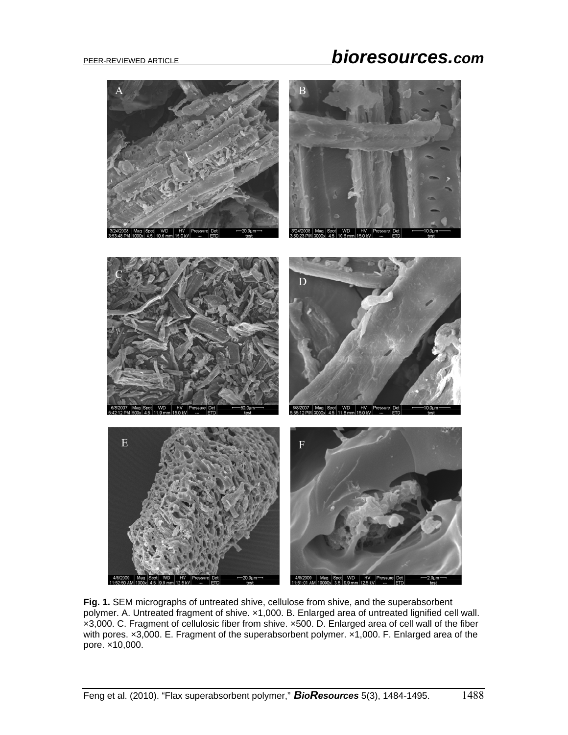# PEER-REVIEWED ARTICLE *bioresources.com*



**Fig. 1.** SEM micrographs of untreated shive, cellulose from shive, and the superabsorbent polymer. A. Untreated fragment of shive. ×1,000. B. Enlarged area of untreated lignified cell wall. ×3,000. C. Fragment of cellulosic fiber from shive. ×500. D. Enlarged area of cell wall of the fiber with pores. x3,000. E. Fragment of the superabsorbent polymer. x1,000. F. Enlarged area of the pore. ×10,000.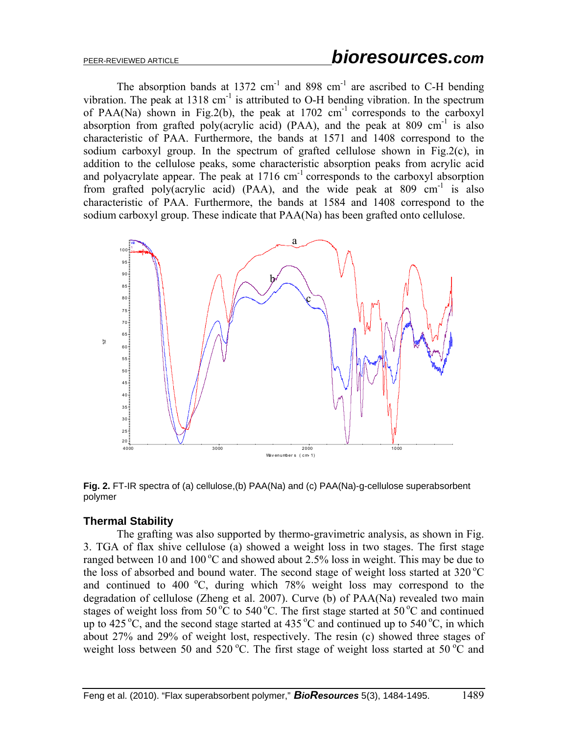The absorption bands at  $1372 \text{ cm}^{-1}$  and  $898 \text{ cm}^{-1}$  are ascribed to C-H bending vibration. The peak at  $1318 \text{ cm}^{-1}$  is attributed to O-H bending vibration. In the spectrum of PAA(Na) shown in Fig.2(b), the peak at  $1702 \text{ cm}^{-1}$  corresponds to the carboxyl absorption from grafted poly(acrylic acid) (PAA), and the peak at 809 cm<sup>-1</sup> is also characteristic of PAA. Furthermore, the bands at 1571 and 1408 correspond to the sodium carboxyl group. In the spectrum of grafted cellulose shown in Fig.2(c), in addition to the cellulose peaks, some characteristic absorption peaks from acrylic acid and polyacrylate appear. The peak at  $1716 \text{ cm}^{-1}$  corresponds to the carboxyl absorption from grafted poly(acrylic acid) (PAA), and the wide peak at 809 cm<sup>-1</sup> is also characteristic of PAA. Furthermore, the bands at 1584 and 1408 correspond to the sodium carboxyl group. These indicate that PAA(Na) has been grafted onto cellulose.



**Fig. 2.** FT-IR spectra of (a) cellulose,(b) PAA(Na) and (c) PAA(Na)-g-cellulose superabsorbent polymer

# **Thermal Stability**

The grafting was also supported by thermo-gravimetric analysis, as shown in Fig. 3. TGA of flax shive cellulose (a) showed a weight loss in two stages. The first stage ranged between 10 and 100 °C and showed about 2.5% loss in weight. This may be due to the loss of absorbed and bound water. The second stage of weight loss started at  $320^{\circ}$ C and continued to 400  $^{\circ}$ C, during which 78% weight loss may correspond to the degradation of cellulose (Zheng et al. 2007). Curve (b) of PAA(Na) revealed two main stages of weight loss from 50 °C to 540 °C. The first stage started at 50 °C and continued up to 425 °C, and the second stage started at 435 °C and continued up to 540 °C, in which about 27% and 29% of weight lost, respectively. The resin (c) showed three stages of weight loss between 50 and 520 °C. The first stage of weight loss started at 50 °C and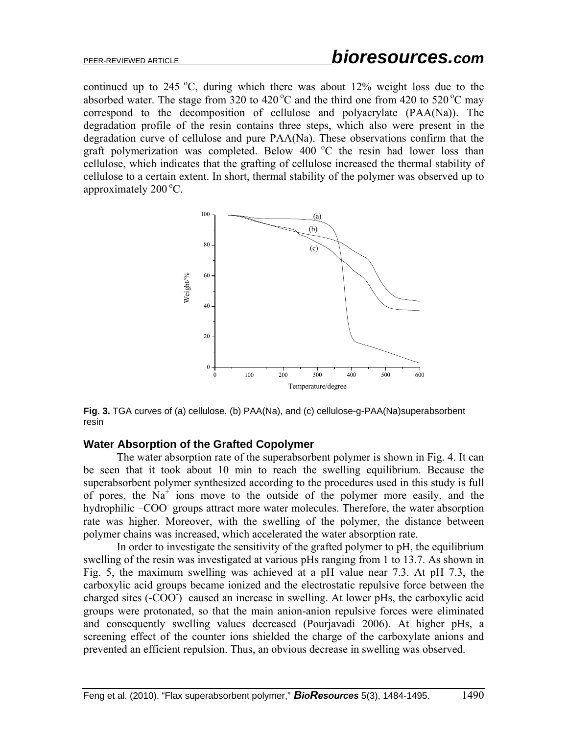continued up to 245  $^{\circ}$ C, during which there was about 12% weight loss due to the absorbed water. The stage from 320 to 420  $^{\circ}$ C and the third one from 420 to 520  $^{\circ}$ C may correspond to the decomposition of cellulose and polyacrylate (PAA(Na)). The degradation profile of the resin contains three steps, which also were present in the degradation curve of cellulose and pure PAA(Na). These observations confirm that the graft polymerization was completed. Below 400  $^{\circ}$ C the resin had lower loss than cellulose, which indicates that the grafting of cellulose increased the thermal stability of cellulose to a certain extent. In short, thermal stability of the polymer was observed up to approximately  $200^{\circ}$ C.



**Fig. 3.** TGA curves of (a) cellulose, (b) PAA(Na), and (c) cellulose-g-PAA(Na)superabsorbent resin

#### **Water Absorption of the Grafted Copolymer**

The water absorption rate of the superabsorbent polymer is shown in Fig. 4. It can be seen that it took about 10 min to reach the swelling equilibrium. Because the superabsorbent polymer synthesized according to the procedures used in this study is full of pores, the  $Na<sup>+</sup>$  ions move to the outside of the polymer more easily, and the hydrophilic –COO groups attract more water molecules. Therefore, the water absorption rate was higher. Moreover, with the swelling of the polymer, the distance between polymer chains was increased, which accelerated the water absorption rate.

 In order to investigate the sensitivity of the grafted polymer to pH, the equilibrium swelling of the resin was investigated at various pHs ranging from 1 to 13.7. As shown in Fig. 5, the maximum swelling was achieved at a pH value near 7.3. At pH 7.3, the carboxylic acid groups became ionized and the electrostatic repulsive force between the charged sites (-COO<sup>-</sup>) caused an increase in swelling. At lower pHs, the carboxylic acid groups were protonated, so that the main anion-anion repulsive forces were eliminated and consequently swelling values decreased (Pourjavadi 2006). At higher pHs, a screening effect of the counter ions shielded the charge of the carboxylate anions and prevented an efficient repulsion. Thus, an obvious decrease in swelling was observed.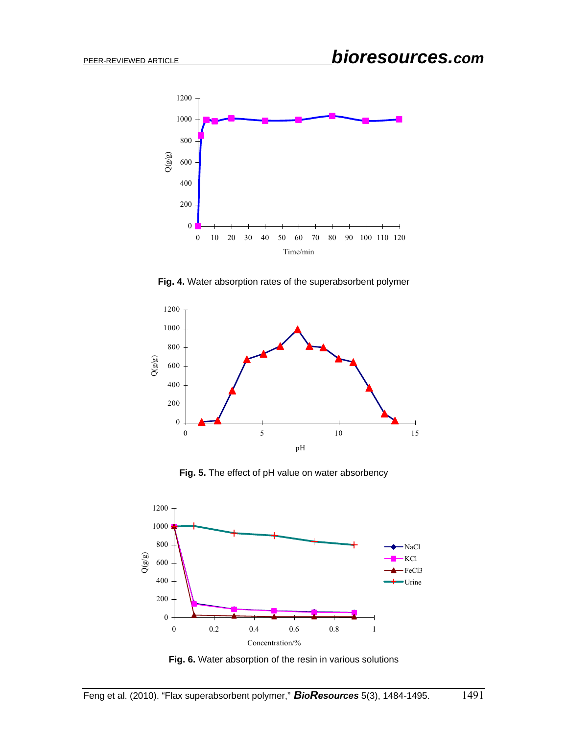

**Fig. 4.** Water absorption rates of the superabsorbent polymer



**Fig. 5.** The effect of pH value on water absorbency



**Fig. 6.** Water absorption of the resin in various solutions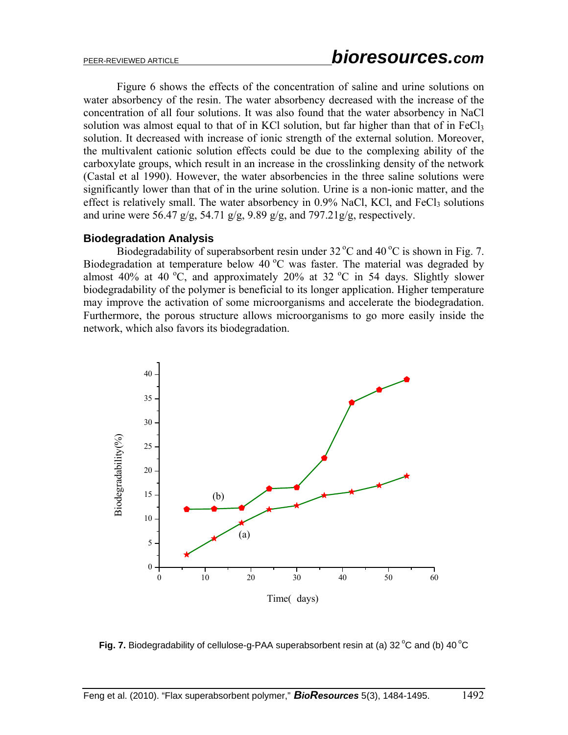Figure 6 shows the effects of the concentration of saline and urine solutions on water absorbency of the resin. The water absorbency decreased with the increase of the concentration of all four solutions. It was also found that the water absorbency in NaCl solution was almost equal to that of in KCl solution, but far higher than that of in  $FeCl<sub>3</sub>$ solution. It decreased with increase of ionic strength of the external solution. Moreover, the multivalent cationic solution effects could be due to the complexing ability of the carboxylate groups, which result in an increase in the crosslinking density of the network (Castal et al 1990). However, the water absorbencies in the three saline solutions were significantly lower than that of in the urine solution. Urine is a non-ionic matter, and the effect is relatively small. The water absorbency in  $0.9\%$  NaCl, KCl, and FeCl<sub>3</sub> solutions and urine were 56.47 g/g, 54.71 g/g, 9.89 g/g, and 797.21g/g, respectively.

#### **Biodegradation Analysis**

Biodegradability of superabsorbent resin under  $32^{\circ}$ C and  $40^{\circ}$ C is shown in Fig. 7. Biodegradation at temperature below 40  $^{\circ}$ C was faster. The material was degraded by almost 40% at 40 °C, and approximately 20% at 32 °C in 54 days. Slightly slower biodegradability of the polymer is beneficial to its longer application. Higher temperature may improve the activation of some microorganisms and accelerate the biodegradation. Furthermore, the porous structure allows microorganisms to go more easily inside the network, which also favors its biodegradation.



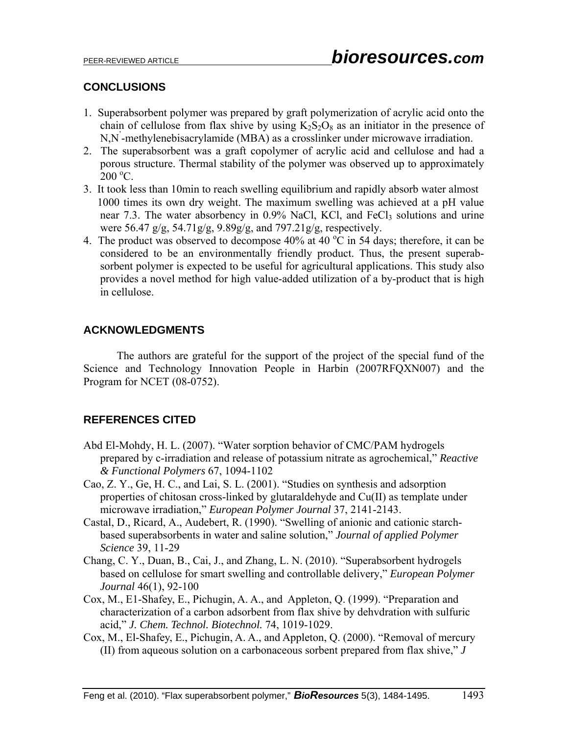# **CONCLUSIONS**

- 1. Superabsorbent polymer was prepared by graft polymerization of acrylic acid onto the chain of cellulose from flax shive by using  $K_2S_2O_8$  as an initiator in the presence of N,N' -methylenebisacrylamide (MBA) as a crosslinker under microwave irradiation.
- 2. The superabsorbent was a graft copolymer of acrylic acid and cellulose and had a porous structure. Thermal stability of the polymer was observed up to approximately  $200^{\circ}$ C.
- 3. It took less than 10min to reach swelling equilibrium and rapidly absorb water almost 1000 times its own dry weight. The maximum swelling was achieved at a pH value near 7.3. The water absorbency in  $0.9\%$  NaCl, KCl, and FeCl<sub>3</sub> solutions and urine were 56.47 g/g, 54.71g/g, 9.89g/g, and 797.21g/g, respectively.
- 4. The product was observed to decompose  $40\%$  at  $40\,^{\circ}\text{C}$  in 54 days; therefore, it can be considered to be an environmentally friendly product. Thus, the present superabsorbent polymer is expected to be useful for agricultural applications. This study also provides a novel method for high value-added utilization of a by-product that is high in cellulose.

# **ACKNOWLEDGMENTS**

 The authors are grateful for the support of the project of the special fund of the Science and Technology Innovation People in Harbin (2007RFQXN007) and the Program for NCET (08-0752).

# **REFERENCES CITED**

- Abd El-Mohdy, H. L. (2007). "Water sorption behavior of CMC/PAM hydrogels prepared by c-irradiation and release of potassium nitrate as agrochemical," *Reactive & Functional Polymers* 67, 1094-1102
- Cao, Z. Y., Ge, H. C., and Lai, S. L. (2001). "Studies on synthesis and adsorption properties of chitosan cross-linked by glutaraldehyde and Cu(II) as template under microwave irradiation," *European Polymer Journal* 37, 2141-2143.
- Castal, D., Ricard, A., Audebert, R. (1990). "Swelling of anionic and cationic starchbased superabsorbents in water and saline solution," *Journal of applied Polymer Science* 39, 11-29
- Chang, C. Y., Duan, B., Cai, J., and Zhang, L. N. (2010). "Superabsorbent hydrogels based on cellulose for smart swelling and controllable delivery," *European Polymer Journal* 46(1), 92-100
- Cox, M., E1-Shafey, E., Pichugin, A. A., and Appleton, Q. (1999). "Preparation and characterization of a carbon adsorbent from flax shive by dehvdration with sulfuric acid," *J. Chem. Technol. Biotechnol.* 74, 1019-1029.
- Cox, M., El-Shafey, E., Pichugin, A. A., and Appleton, Q. (2000). "Removal of mercury (II) from aqueous solution on a carbonaceous sorbent prepared from flax shive," *J*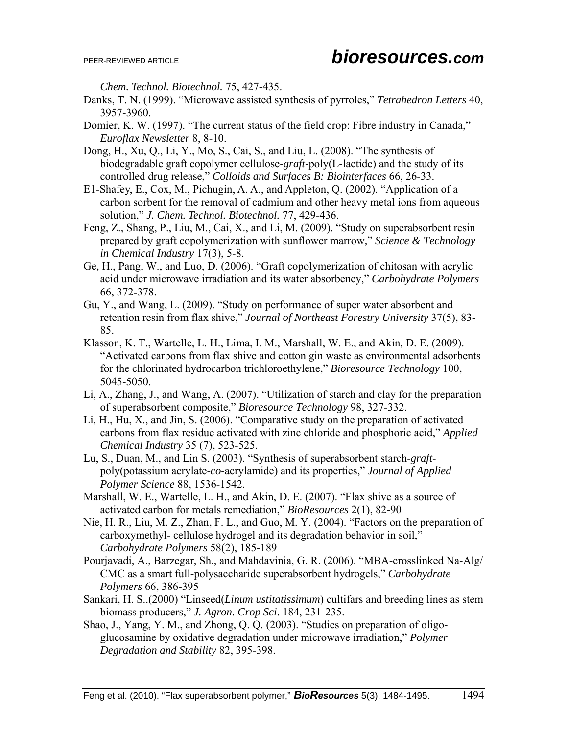*Chem. Technol. Biotechnol.* 75, 427-435.

- Danks, T. N. (1999). "Microwave assisted synthesis of pyrroles," *Tetrahedron Letters* 40, 3957-3960.
- Domier, K. W. (1997). "The current status of the field crop: Fibre industry in Canada," *Euroflax Newsletter* 8, 8-10.
- Dong, H., Xu, Q., Li, Y., Mo, S., Cai, S., and Liu, L. (2008). "The synthesis of biodegradable graft copolymer cellulose-*graft*-poly(L-lactide) and the study of its controlled drug release," *Colloids and Surfaces B: Biointerfaces* 66, 26-33.
- E1-Shafey, E., Cox, M., Pichugin, A. A., and Appleton, Q. (2002). "Application of a carbon sorbent for the removal of cadmium and other heavy metal ions from aqueous solution," *J. Chem. Technol. Biotechnol.* 77, 429-436.
- Feng, Z., Shang, P., Liu, M., Cai, X., and Li, M. (2009). "Study on superabsorbent resin prepared by graft copolymerization with sunflower marrow," *Science & Technology in Chemical Industry* 17(3), 5-8.
- Ge, H., Pang, W., and Luo, D. (2006). "Graft copolymerization of chitosan with acrylic acid under microwave irradiation and its water absorbency," *Carbohydrate Polymers* 66, 372-378.
- Gu, Y., and Wang, L. (2009). "Study on performance of super water absorbent and retention resin from flax shive," *Journal of Northeast Forestry University* 37(5), 83- 85.
- Klasson, K. T., Wartelle, L. H., Lima, I. M., Marshall, W. E., and Akin, D. E. (2009). "Activated carbons from flax shive and cotton gin waste as environmental adsorbents for the chlorinated hydrocarbon trichloroethylene," *Bioresource Technology* 100, 5045-5050.
- Li, A., Zhang, J., and Wang, A. (2007). "Utilization of starch and clay for the preparation of superabsorbent composite," *Bioresource Technology* 98, 327-332.
- Li, H., Hu, X., and Jin, S. (2006). "Comparative study on the preparation of activated carbons from flax residue activated with zinc chloride and phosphoric acid," *Applied Chemical Industry* 35 (7), 523-525.
- Lu, S., Duan, M., and Lin S. (2003). "Synthesis of superabsorbent starch-*graft*poly(potassium acrylate-*co*-acrylamide) and its properties," *Journal of Applied Polymer Science* 88, 1536-1542.
- Marshall, W. E., Wartelle, L. H., and Akin, D. E. (2007). "Flax shive as a source of activated carbon for metals remediation," *BioResources* 2(1), 82-90
- Nie, H. R., Liu, M. Z., Zhan, F. L., and Guo, M. Y. (2004). "Factors on the preparation of carboxymethyl- cellulose hydrogel and its degradation behavior in soil," *Carbohydrate Polymers* 58(2), 185-189
- Pourjavadi, A., Barzegar, Sh., and Mahdavinia, G. R. (2006). "MBA-crosslinked Na-Alg/ CMC as a smart full-polysaccharide superabsorbent hydrogels," *Carbohydrate Polymers* 66, 386-395
- Sankari, H. S..(2000) "Linseed(*Linum ustitatissimum*) cultifars and breeding lines as stem biomass producers," *J. Agron. Crop Sci*. 184, 231-235.
- Shao, J., Yang, Y. M., and Zhong, Q. Q. (2003). "Studies on preparation of oligoglucosamine by oxidative degradation under microwave irradiation," *Polymer Degradation and Stability* 82, 395-398.